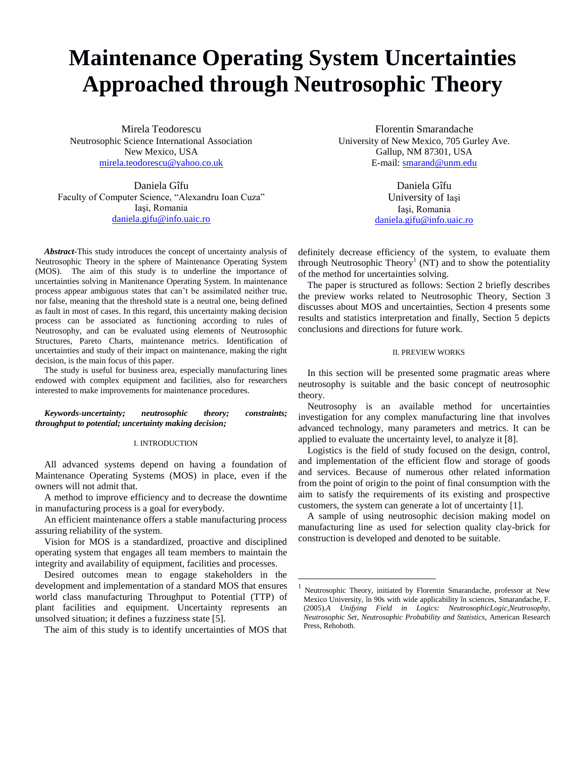# **Maintenance Operating System Uncertainties Approached through Neutrosophic Theory**

 $\overline{a}$ 

Mirela Teodorescu Neutrosophic Science International Association New Mexico, USA [mirela.teodorescu@yahoo.co.uk](mailto:mirela.teodorescu@yahoo.co.uk)

Daniela Gîfu Faculty of Computer Science, "Alexandru Ioan Cuza" Iaşi, Romania daniela.gifu@info.uaic.ro

*Abstract-*This study introduces the concept of uncertainty analysis of Neutrosophic Theory in the sphere of Maintenance Operating System (MOS). The aim of this study is to underline the importance of uncertainties solving in Manitenance Operating System. In maintenance process appear ambiguous states that can't be assimilated neither true, nor false, meaning that the threshold state is a neutral one, being defined as fault in most of cases. In this regard, this uncertainty making decision process can be associated as functioning according to rules of Neutrosophy, and can be evaluated using elements of Neutrosophic Structures, Pareto Charts, maintenance metrics. Identification of uncertainties and study of their impact on maintenance, making the right decision, is the main focus of this paper.

The study is useful for business area, especially manufacturing lines endowed with complex equipment and facilities, also for researchers interested to make improvements for maintenance procedures.

## *Keywords-uncertainty; neutrosophic theory; constraints; throughput to potential; uncertainty making decision;*

# I. INTRODUCTION

All advanced systems depend on having a foundation of Maintenance Operating Systems (MOS) in place, even if the owners will not admit that.

A method to improve efficiency and to decrease the downtime in manufacturing process is a goal for everybody.

An efficient maintenance offers a stable manufacturing process assuring reliability of the system.

Vision for MOS is a standardized, proactive and disciplined operating system that engages all team members to maintain the integrity and availability of equipment, facilities and processes.

Desired outcomes mean to engage stakeholders in the development and implementation of a standard MOS that ensures world class manufacturing Throughput to Potential (TTP) of plant facilities and equipment. Uncertainty represents an unsolved situation; it defines a fuzziness state [5].

The aim of this study is to identify uncertainties of MOS that

Florentin Smarandache University of New Mexico, 705 Gurley Ave. Gallup, NM 87301, USA E-mail[: smarand@unm.edu](mailto:smarand@unm.edu)

> Daniela Gîfu University of Iaşi Iaşi, Romania [daniela.gifu@info.uaic.ro](mailto:daniela.gifu@info.uaic.ro)

definitely decrease efficiency of the system, to evaluate them through Neutrosophic Theory<sup>1</sup> (NT) and to show the potentiality of the method for uncertainties solving.

The paper is structured as follows: Section 2 briefly describes the preview works related to Neutrosophic Theory, Section 3 discusses about MOS and uncertainties, Section 4 presents some results and statistics interpretation and finally, Section 5 depicts conclusions and directions for future work.

## II. PREVIEW WORKS

In this section will be presented some pragmatic areas where neutrosophy is suitable and the basic concept of neutrosophic theory.

Neutrosophy is an available method for uncertainties investigation for any complex manufacturing line that involves advanced technology, many parameters and metrics. It can be applied to evaluate the uncertainty level, to analyze it [8].

Logistics is the field of study focused on the design, control, and implementation of the efficient flow and storage of goods and services. Because of numerous other related information from the point of origin to the point of final consumption with the aim to satisfy the requirements of its existing and prospective customers, the system can generate a lot of uncertainty [1].

A sample of using neutrosophic decision making model on manufacturing line as used for selection quality clay-brick for construction is developed and denoted to be suitable.

<sup>1</sup> Neutrosophic Theory, initiated by Florentin Smarandache, professor at New Mexico University, în 90s with wide applicability în sciences, Smarandache, F. (2005).*A Unifying Field in Logics: NeutrosophicLogic,Neutrosophy, Neutrosophic Set, Neutrosophic Probability and Statistics*, American Research Press, Rehoboth.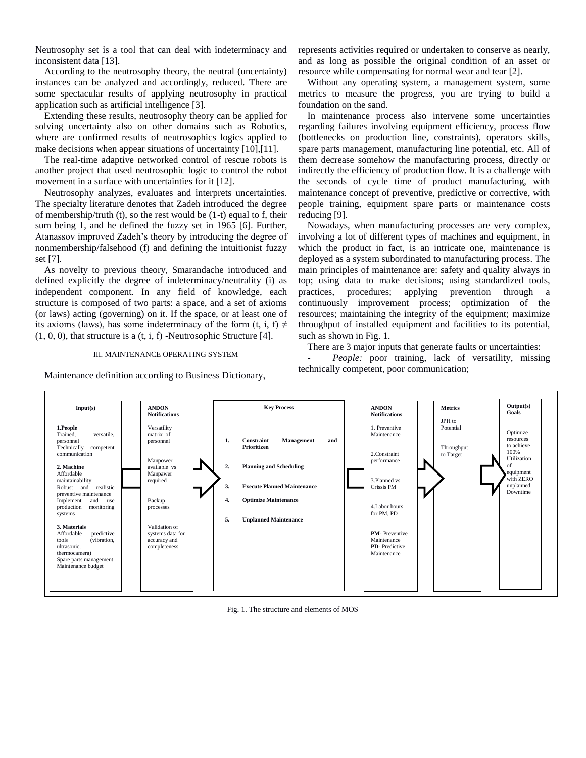Neutrosophy set is a tool that can deal with indeterminacy and inconsistent data [13].

According to the neutrosophy theory, the neutral (uncertainty) instances can be analyzed and accordingly, reduced. There are some spectacular results of applying neutrosophy in practical application such as artificial intelligence [3].

Extending these results, neutrosophy theory can be applied for solving uncertainty also on other domains such as Robotics, where are confirmed results of neutrosophics logics applied to make decisions when appear situations of uncertainty [10],[11].

The real-time adaptive networked control of rescue robots is another project that used neutrosophic logic to control the robot movement in a surface with uncertainties for it [12].

Neutrosophy analyzes, evaluates and interprets uncertainties. The specialty literature denotes that Zadeh introduced the degree of membership/truth (t), so the rest would be  $(1-t)$  equal to f, their sum being 1, and he defined the fuzzy set in 1965 [6]. Further, Atanassov improved Zadeh's theory by introducing the degree of nonmembership/falsehood (f) and defining the intuitionist fuzzy set [7].

As novelty to previous theory, Smarandache introduced and defined explicitly the degree of indeterminacy/neutrality (i) as independent component. In any field of knowledge, each structure is composed of two parts: a space, and a set of axioms (or laws) acting (governing) on it. If the space, or at least one of its axioms (laws), has some indeterminacy of the form (t, i, f)  $\neq$  $(1, 0, 0)$ , that structure is a  $(t, i, f)$  -Neutrosophic Structure [4].

## III. MAINTENANCE OPERATING SYSTEM

Maintenance definition according to Business Dictionary,

represents activities required or undertaken to conserve as nearly, and as long as possible the original condition of an asset or resource while compensating for normal wear and tear [2].

Without any operating system, a management system, some metrics to measure the progress, you are trying to build a foundation on the sand.

In maintenance process also intervene some uncertainties regarding failures involving equipment efficiency, process flow (bottlenecks on production line, constraints), operators skills, spare parts management, manufacturing line potential, etc. All of them decrease somehow the manufacturing process, directly or indirectly the efficiency of production flow. It is a challenge with the seconds of cycle time of product manufacturing, with maintenance concept of preventive, predictive or corrective, with people training, equipment spare parts or maintenance costs reducing [9].

Nowadays, when manufacturing processes are very complex, involving a lot of different types of machines and equipment, in which the product in fact, is an intricate one, maintenance is deployed as a system subordinated to manufacturing process. The main principles of maintenance are: safety and quality always in top; using data to make decisions; using standardized tools, practices, procedures; applying prevention through a continuously improvement process; optimization of the resources; maintaining the integrity of the equipment; maximize throughput of installed equipment and facilities to its potential, such as shown in Fig. 1.

There are 3 major inputs that generate faults or uncertainties:

People: poor training, lack of versatility, missing technically competent, poor communication;



Fig. 1. The structure and elements of MOS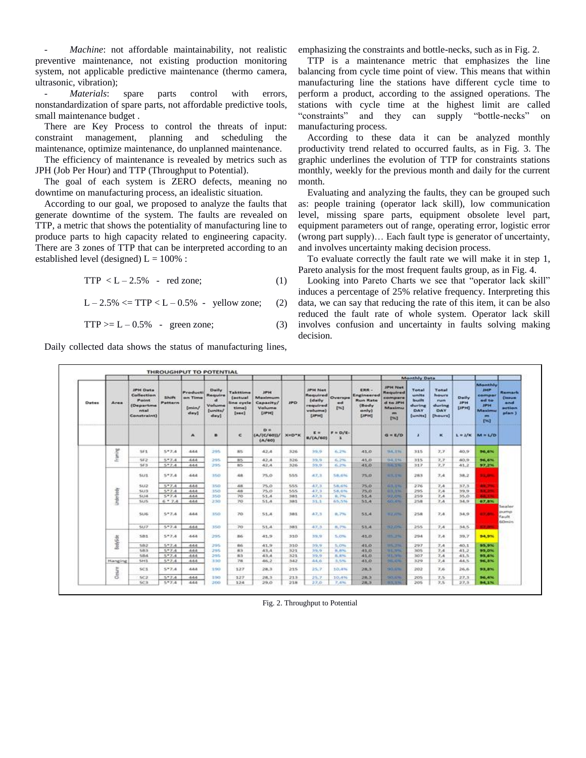Machine: not affordable maintainability, not realistic preventive maintenance, not existing production monitoring system, not applicable predictive maintenance (thermo camera, ultrasonic, vibration);

Materials: spare parts control with errors, nonstandardization of spare parts, not affordable predictive tools, small maintenance budget .

There are Key Process to control the threats of input: constraint management, planning and scheduling the maintenance, optimize maintenance, do unplanned maintenance.

The efficiency of maintenance is revealed by metrics such as JPH (Job Per Hour) and TTP (Throughput to Potential).

The goal of each system is ZERO defects, meaning no downtime on manufacturing process, an idealistic situation.

According to our goal, we proposed to analyze the faults that generate downtime of the system. The faults are revealed on TTP, a metric that shows the potentiality of manufacturing line to produce parts to high capacity related to engineering capacity. There are 3 zones of TTP that can be interpreted according to an established level (designed)  $L = 100\%$ :

 $TTP < L - 2.5\%$  - red zone; (1)

 $L - 2.5\% \le TTP < L - 0.5\%$  - yellow zone; (2)

 $TTP \ge L - 0.5\%$  - green zone; (3)

Daily collected data shows the status of manufacturing lines,

emphasizing the constraints and bottle-necks, such as in Fig. 2.

TTP is a maintenance metric that emphasizes the line balancing from cycle time point of view. This means that within manufacturing line the stations have different cycle time to perform a product, according to the assigned operations. The stations with cycle time at the highest limit are called "constraints" and they can supply "bottle-necks" on manufacturing process.

According to these data it can be analyzed monthly productivity trend related to occurred faults, as in Fig. 3. The graphic underlines the evolution of TTP for constraints stations monthly, weekly for the previous month and daily for the current month.

Evaluating and analyzing the faults, they can be grouped such as: people training (operator lack skill), low communication level, missing spare parts, equipment obsolete level part, equipment parameters out of range, operating error, logistic error (wrong part supply)… Each fault type is generator of uncertainty, and involves uncertainty making decision process.

To evaluate correctly the fault rate we will make it in step 1, Pareto analysis for the most frequent faults group, as in Fig. 4.

Looking into Pareto Charts we see that "operator lack skill" induces a percentage of 25% relative frequency. Interpreting this data, we can say that reducing the rate of this item, it can be also reduced the fault rate of whole system. Operator lack skill involves confusion and uncertainty in faults solving making decision.

|              | Area             | <b>JPH Data</b><br>Collection<br>Point.<br>(Departme<br>mtal<br>Constraint) | Shift.<br>Pattern | <b>Praducti</b><br>on Time<br>[min]<br>day] |                                                                       |                                                               | <b>JIPH</b><br>Maximum<br>Capacity/<br>Volume<br>DPH1 | <b>JPD</b> | JPH Net<br>Required<br>(daily<br>required<br>velume)<br>$[{\rm JPH}]$ | Overspe<br>ed.<br>1943                | ERR -<br>Engineered<br><b>Run Rate</b><br>(Body<br>anly)<br>[JPH] | <b>Monthly Data</b>                                                                               |                                                            |                                                           |                                     |                                                                          |                                                              |
|--------------|------------------|-----------------------------------------------------------------------------|-------------------|---------------------------------------------|-----------------------------------------------------------------------|---------------------------------------------------------------|-------------------------------------------------------|------------|-----------------------------------------------------------------------|---------------------------------------|-------------------------------------------------------------------|---------------------------------------------------------------------------------------------------|------------------------------------------------------------|-----------------------------------------------------------|-------------------------------------|--------------------------------------------------------------------------|--------------------------------------------------------------|
| <b>Dates</b> |                  |                                                                             |                   |                                             | Daily.<br>Require<br>$\mathbf{d}$<br>Volume<br><b>Dunits/</b><br>day] | Takttime<br><b>Coctual</b><br>lina cycle<br>time)<br>$[$ sec] |                                                       |            |                                                                       |                                       |                                                                   | <b>JIPH Net</b><br>Required<br>compare<br>d to IPH<br>Maximu<br><b>PRIS</b><br>1961<br>---------- | Total<br><b>Unite</b><br>built<br>during<br>DAY<br>[units] | Total<br><b>Nours</b><br>FUEL<br>during<br>DAY<br>[hours] | Daily<br><b>JPH</b><br><b>ЕГРНО</b> | Monthly<br>JHP<br>compar<br>ed to<br>1994<br><b>Maximu</b><br>m.<br>1963 | Raimark<br><b>Classico</b><br>and<br><b>action</b><br>plan ) |
|              |                  |                                                                             |                   | A                                           | ٠                                                                     | $\epsilon$                                                    | D'#<br>(A/(C/60))/<br>(A/40)                          | $X = D^*K$ | EH<br>B/(A/60)                                                        | $F = D/E$<br>$\overline{\phantom{a}}$ |                                                                   | $a = r/c$                                                                                         | ×                                                          | ×                                                         |                                     | $L = I/K$ $M = L/D$                                                      |                                                              |
|              | Franks           | SF1                                                                         | $5 - 7.4$         | 444                                         | 295                                                                   | 黒な                                                            | 42.4                                                  | 326        | 39.91                                                                 | 6,2%                                  | 41.0                                                              | <b>TAX ESU</b>                                                                                    | 315                                                        | 7.7.                                                      | 40.9                                | <b>96.6%</b>                                                             |                                                              |
|              |                  | 5F2                                                                         | $5*7.4$           | 444                                         | 295                                                                   | 85                                                            | 42.4                                                  | 326        | 39.9                                                                  | 6.2%                                  | 41.0                                                              | 94.1%                                                                                             | 315                                                        | 7.7                                                       | 40.9                                | 96,6%                                                                    |                                                              |
|              |                  | SF3                                                                         | 557.4             | 444                                         | 295                                                                   | BS:                                                           | 42.4                                                  | 326        | \$9.91                                                                | 6,2%                                  | 41.0                                                              | 22,150                                                                                            | 317                                                        | 7,7                                                       | 41.2                                | 97,2%                                                                    |                                                              |
|              |                  | <b>SUS</b>                                                                  | 5*7.8             | 444                                         | 350                                                                   | 48.                                                           | 75.0                                                  | 555.       | 67.3                                                                  | SR.6%                                 | 75.0                                                              | 63.1%                                                                                             | 283                                                        | 7.4.                                                      | 38.2                                | <b>Bally Corp.</b>                                                       |                                                              |
|              |                  | <b>SU2</b>                                                                  | $5*7.4$           | 444                                         | 350                                                                   | 48                                                            | 75.0                                                  | 555        | 47.3                                                                  | 58.6%                                 | 75.0                                                              | <b>CENTRAL CONTRACTOR</b><br>63,136                                                               | 276                                                        | 7.4                                                       | 37.3                                | <b>STATISTICS</b><br><b>AN.79</b>                                        |                                                              |
|              |                  | 51/3                                                                        | 577.4             | 444                                         | 350                                                                   | 48                                                            | 75.0                                                  | 555        | 47.3                                                                  | <b>S8.6%</b>                          | 75.0                                                              | 91303.96                                                                                          | 295                                                        | 7.4                                                       | 39.9                                | <b>MA 29</b>                                                             |                                                              |
|              |                  | 5134                                                                        | 517.4             | 444                                         | 350                                                                   | 70                                                            | 51.4                                                  | 381        | 47.3                                                                  | 8.7%                                  | 55.4                                                              | 22,579                                                                                            | 259                                                        | 7,4                                                       | 35.0                                | <b>TELES</b>                                                             |                                                              |
|              | <b>Underline</b> | <b>SUS</b>                                                                  | $6 - 7A$          | 444                                         | 230                                                                   | 70                                                            | 51.4                                                  | 385        | 31.1                                                                  | 65.5%                                 | 51.4                                                              | 60.4%                                                                                             | 258                                                        | 7.4                                                       | 34.9                                | 67,8%                                                                    | Sealer                                                       |
|              |                  | 51367                                                                       | $5*7.4$           | 444                                         | 350                                                                   | 70.                                                           | 51.4                                                  | 381        | 47,3                                                                  | 8,7%                                  | 51.4                                                              | 32,076                                                                                            | 258                                                        | 7.4                                                       | 34.91                               | <b>CONTRACTOR</b>                                                        | <b>DUMINO</b><br><b>Fault</b><br><b>GC</b> eniry             |
|              |                  | <b>SU7</b>                                                                  | $5*7.4$           | 444                                         | 350                                                                   | 70                                                            | 51.4                                                  | 381        | 47.3                                                                  | 8,7%                                  | 51.4                                                              | <b><i>ARLANDREE</i></b><br>782,0796                                                               | 255                                                        | 7.4                                                       | 34.5                                | . .                                                                      |                                                              |
|              | BodySte          | 581                                                                         | 577.4             | 444                                         | 295                                                                   | 86                                                            | 41.9                                                  | 310        | 59.9                                                                  | 5.0%                                  | 41.0                                                              | 105,274                                                                                           | 294                                                        | 7.41                                                      | 39.7                                | 94,9%                                                                    |                                                              |
|              |                  | 582                                                                         | 577.4             | 444                                         | 295                                                                   | 86                                                            | 41.9                                                  | 310        | 59.91                                                                 | 5.0%                                  | 41.0                                                              | <b>MAZZA</b>                                                                                      | 297                                                        | 7.4                                                       | 40.1                                | 95.9%                                                                    |                                                              |
|              |                  | S.PLS                                                                       | 57.4              | 444                                         | 295                                                                   | 83                                                            | 43.4                                                  | 321        | 39.91                                                                 | 8.8%                                  | 41.0                                                              | <b>RECORD</b>                                                                                     | 305                                                        | 2.4                                                       | 41.2                                | 95,0%                                                                    |                                                              |
|              |                  | 584                                                                         | $5 - 7.4$         | 444                                         | 295                                                                   | $-8.3$                                                        | 43.4                                                  | 321        | 39.9                                                                  | 8.8%                                  | 41.0                                                              | <b>MEN'S</b>                                                                                      | 307                                                        | 7.4                                                       | 41.5                                | 95,6%                                                                    |                                                              |
|              | Manging          | 5H1                                                                         | $5 - 7.4$         | 444                                         | 350                                                                   | 78                                                            | 46.2                                                  | 342        | 44.0                                                                  | 3,5%                                  | 41.0                                                              | 253.5%                                                                                            | 329                                                        | 7.4                                                       | 44.5                                | 96,8%                                                                    |                                                              |
|              | Down             | 56.3                                                                        | $5*7.4$           | 444                                         | 190                                                                   | 127                                                           | 28.3                                                  | 215        | 25.7                                                                  | 10.4%                                 | 28.3                                                              | <b>BOATE</b>                                                                                      | 202                                                        | 7.6                                                       | 26.6                                | 93,8%                                                                    |                                                              |
|              |                  | 5C2                                                                         | 517.4             | 444                                         | 190                                                                   | 127                                                           | 28.5                                                  | 213        | 25.7                                                                  | 10,4%                                 | 28.3                                                              | <b>SOLEN</b>                                                                                      | 205                                                        | 7.5                                                       | 27.3                                | 96,4%                                                                    |                                                              |
|              |                  | SC3                                                                         | $5*7.4$           | 444                                         | 200                                                                   | 124                                                           | 29.0                                                  | 218.       | 27.0                                                                  | 7.4%                                  | 28.3                                                              | <b>B.B. E.M.</b>                                                                                  | 205                                                        | 7.5                                                       | 27.3                                | 94.1%                                                                    |                                                              |

Fig. 2. Throughput to Potential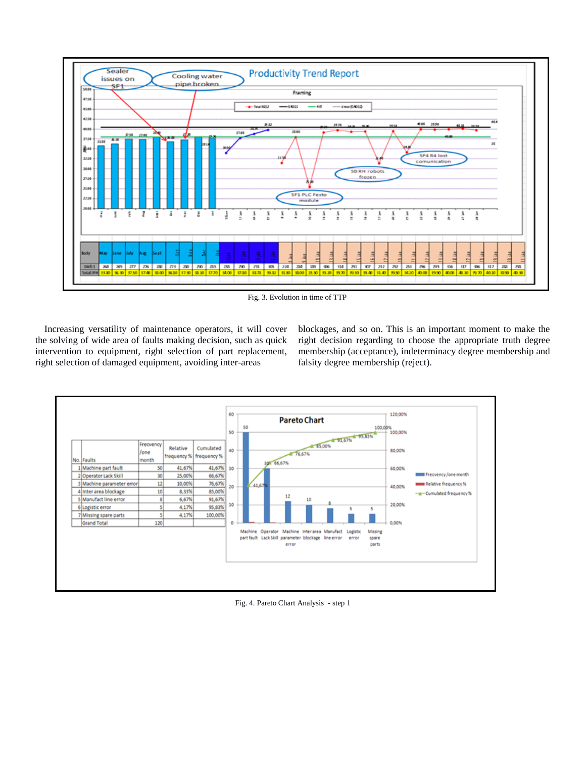

Fig. 3. Evolution in time of TTP

Increasing versatility of maintenance operators, it will cover the solving of wide area of faults making decision, such as quick intervention to equipment, right selection of part replacement, right selection of damaged equipment, avoiding inter-areas

blockages, and so on. This is an important moment to make the right decision regarding to choose the appropriate truth degree membership (acceptance), indeterminacy degree membership and falsity degree membership (reject).



Fig. 4. Pareto Chart Analysis - step 1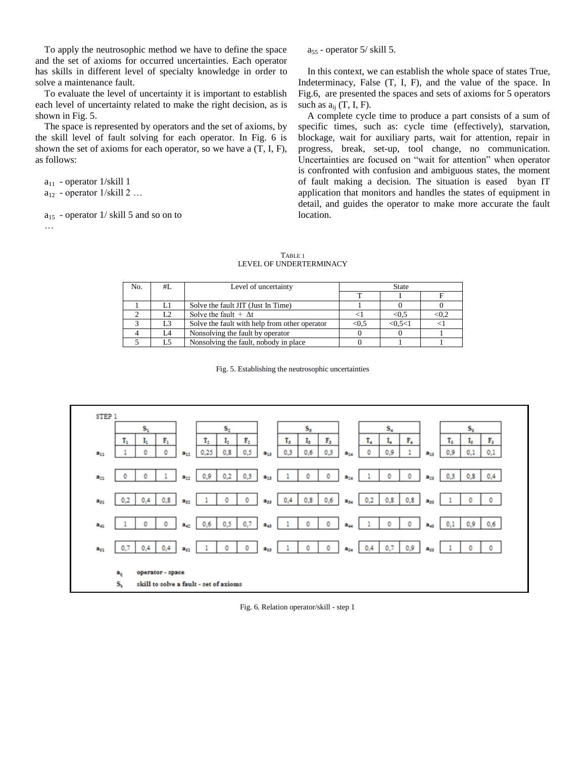To apply the neutrosophic method we have to define the space and the set of axioms for occurred uncertainties. Each operator has skills in different level of specialty knowledge in order to solve a maintenance fault.

To evaluate the level of uncertainty it is important to establish each level of uncertainty related to make the right decision, as is shown in Fig. 5.

The space is represented by operators and the set of axioms, by the skill level of fault solving for each operator. In Fig. 6 is shown the set of axioms for each operator, so we have a (T, I, F), as follows:

 $a_{11}$  - operator 1/skill 1  $a_{12}$  - operator 1/skill 2 ...

…

 $a_{15}$  - operator 1/ skill 5 and so on to

 $a_{55}$  - operator 5/ skill 5.

In this context, we can establish the whole space of states True, Indeterminacy, False (T, I, F), and the value of the space. In Fig.6, are presented the spaces and sets of axioms for 5 operators such as  $a_{ii}$  (T, I, F).

A complete cycle time to produce a part consists of a sum of specific times, such as: cycle time (effectively), starvation, blockage, wait for auxiliary parts, wait for attention, repair in progress, break, set-up, tool change, no communication. Uncertainties are focused on "wait for attention" when operator is confronted with confusion and ambiguous states, the moment of fault making a decision. The situation is eased byan IT application that monitors and handles the states of equipment in detail, and guides the operator to make more accurate the fault location.

| No. | #I. | Level of uncertainty                          | <b>State</b> |           |              |  |  |  |
|-----|-----|-----------------------------------------------|--------------|-----------|--------------|--|--|--|
|     |     |                                               |              |           |              |  |  |  |
|     |     | Solve the fault JIT (Just In Time)            |              |           |              |  |  |  |
|     | L2  | Solve the fault $+ \Delta t$                  |              | < 0.5     | $< \!\! 0.2$ |  |  |  |
|     | L3  | Solve the fault with help from other operator | < 0.5        | < 0.5 < 1 |              |  |  |  |
|     |     | Nonsolving the fault by operator              |              |           |              |  |  |  |
|     |     | Nonsolving the fault, nobody in place.        |              |           |              |  |  |  |

TABLE 1 LEVEL OF UNDERTERMINACY

Fig. 5. Establishing the neutrosophic uncertainties



Fig. 6. Relation operator/skill - step 1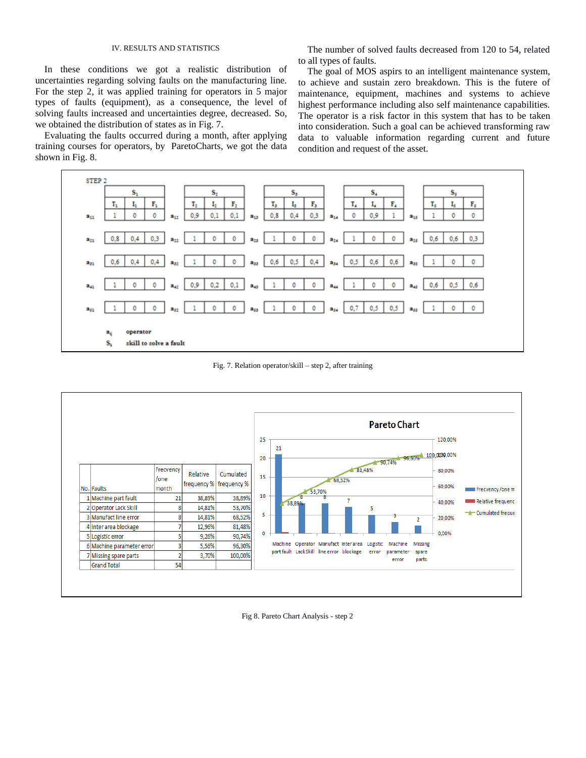## IV. RESULTS AND STATISTICS

In these conditions we got a realistic distribution of uncertainties regarding solving faults on the manufacturing line. For the step 2, it was applied training for operators in 5 major types of faults (equipment), as a consequence, the level of solving faults increased and uncertainties degree, decreased. So, we obtained the distribution of states as in Fig. 7.

Evaluating the faults occurred during a month, after applying training courses for operators, by ParetoCharts, we got the data shown in Fig. 8.

The number of solved faults decreased from 120 to 54, related to all types of faults.

The goal of MOS aspirs to an intelligent maintenance system, to achieve and sustain zero breakdown. This is the futere of maintenance, equipment, machines and systems to achieve highest performance including also self maintenance capabilities. The operator is a risk factor in this system that has to be taken into consideration. Such a goal can be achieved transforming raw data to valuable information regarding current and future condition and request of the asset.



Fig. 7. Relation operator/skill – step 2, after training



Fig 8. Pareto Chart Analysis - step 2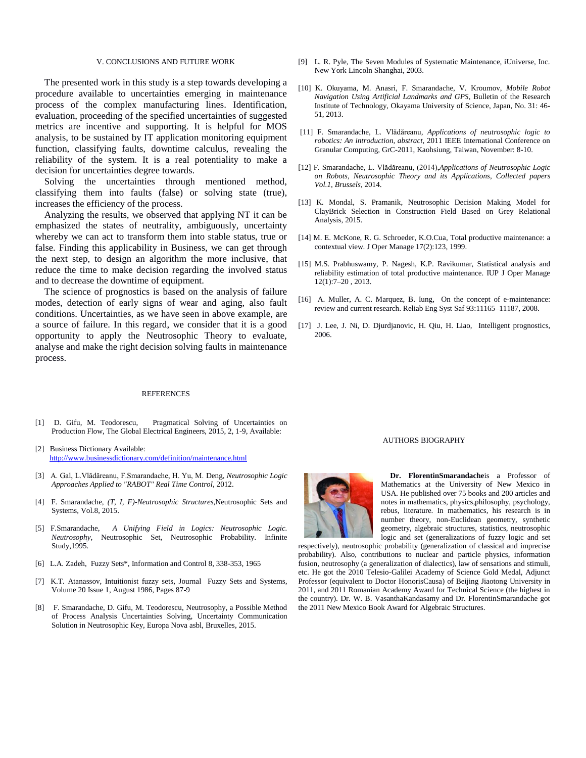## V. CONCLUSIONS AND FUTURE WORK

The presented work in this study is a step towards developing a procedure available to uncertainties emerging in maintenance process of the complex manufacturing lines. Identification, evaluation, proceeding of the specified uncertainties of suggested metrics are incentive and supporting. It is helpful for MOS analysis, to be sustained by IT application monitoring equipment function, classifying faults, downtime calculus, revealing the reliability of the system. It is a real potentiality to make a decision for uncertainties degree towards.

Solving the uncertainties through mentioned method, classifying them into faults (false) or solving state (true), increases the efficiency of the process.

Analyzing the results, we observed that applying NT it can be emphasized the states of neutrality, ambiguously, uncertainty whereby we can act to transform them into stable status, true or false. Finding this applicability in Business, we can get through the next step, to design an algorithm the more inclusive, that reduce the time to make decision regarding the involved status and to decrease the downtime of equipment.

The science of prognostics is based on the analysis of failure modes, detection of early signs of wear and aging, also fault conditions. Uncertainties, as we have seen in above example, are a source of failure. In this regard, we consider that it is a good opportunity to apply the Neutrosophic Theory to evaluate, analyse and make the right decision solving faults in maintenance process.

### REFERENCES

- [1] D. Gifu, M. Teodorescu, Pragmatical Solving of Uncertainties on Production Flow, The Global Electrical Engineers, 2015, 2, 1-9, Available:
- [2] Business Dictionary Available: <http://www.businessdictionary.com/definition/maintenance.html>
- [3] A. Gal, L.Vlădăreanu, F.Smarandache, H. Yu, M. Deng, *Neutrosophic Logic Approaches Applied to "RABOT" Real Time Control*, 2012.
- [4] F. Smarandache, *(T, I, F)-Neutrosophic Structures*[,Neutrosophic Sets and](http://www.google.ro/url?sa=t&rct=j&q=&esrc=s&source=web&cd=2&ved=0CCYQFjAB&url=http%3A%2F%2Ffs.gallup.unm.edu%2FNSS%2F&ei=lHdAVfLbJMO57gbu9IC4Bg&usg=AFQjCNH9YYYgeovzwgpNzT4u8PpCBWVnbA&bvm=bv.91665533,d.bGQ&cad=rja)  [Systems,](http://www.google.ro/url?sa=t&rct=j&q=&esrc=s&source=web&cd=2&ved=0CCYQFjAB&url=http%3A%2F%2Ffs.gallup.unm.edu%2FNSS%2F&ei=lHdAVfLbJMO57gbu9IC4Bg&usg=AFQjCNH9YYYgeovzwgpNzT4u8PpCBWVnbA&bvm=bv.91665533,d.bGQ&cad=rja) Vol.8, 2015.
- [5] F.Smarandache, *A Unifying Field in Logics: Neutrosophic Logic. Neutrosophy*, Neutrosophic Set, Neutrosophic Probability. Infinite Study,1995.
- [6] L.A. Zadeh, Fuzzy Sets\*, Information and Control 8, 338-353, 1965
- [7] K.T. Atanassov, Intuitionist fuzzy sets, Journal Fuzzy Sets and Systems, Volume 20 Issue 1, August 1986, Pages 87-9
- [8] F. Smarandache, D. Gifu, M. Teodorescu, Neutrosophy, a Possible Method of Process Analysis Uncertainties Solving, Uncertainty Communication Solution in Neutrosophic Key, Europa Nova asbl, Bruxelles, 2015.
- [9] L. R. Pyle, The Seven Modules of Systematic Maintenance, iUniverse, Inc. New York Lincoln Shanghai, 2003.
- [10] K. Okuyama, M. Anasri, F. Smarandache, V. Kroumov, *Mobile Robot Navigation Using Artificial Landmarks and GPS*, Bulletin of the Research Institute of Technology, Okayama University of Science, Japan, No. 31: 46- 51, 2013.
- [11] F. Smarandache, L. Vlădăreanu, *Applications of neutrosophic logic to robotics: An introduction, abstract*, 2011 IEEE International Conference on Granular Computing, GrC-2011, Kaohsiung, Taiwan, November: 8-10.
- [12] F. Smarandache, L. Vlădăreanu, (2014),*Applications of Neutrosophic Logic on Robots, Neutrosophic Theory and its Applications, Collected papers Vol.1, Brussels*, 2014.
- [13] K. Mondal, S. Pramanik, Neutrosophic Decision Making Model for ClayBrick Selection in Construction Field Based on Grey Relational Analysis, 2015.
- [14] M. E. McKone, R. G. Schroeder, K.O.Cua, Total productive maintenance: a contextual view. J Oper Manage 17(2):123, 1999.
- [15] M.S. Prabhuswamy, P. Nagesh, K.P. Ravikumar, Statistical analysis and reliability estimation of total productive maintenance. IUP J Oper Manage 12(1):7–20 , 2013.
- [16] A. Muller, A. C. Marquez, B. Iung, On the concept of e-maintenance: review and current research. Reliab Eng Syst Saf 93:11165–11187, 2008.
- [17] J. Lee, J. Ni, D. Djurdjanovic, H. Qiu, H. Liao, Intelligent prognostics, 2006.

#### AUTHORS BIOGRAPHY



**Dr. FlorentinSmarandache**is a Professor of Mathematics at the University of New Mexico in USA. He published over 75 books and 200 articles and notes in mathematics, physics,philosophy, psychology, rebus, literature. In mathematics, his research is in number theory, non-Euclidean geometry, synthetic geometry, algebraic structures, statistics, neutrosophic logic and set (generalizations of fuzzy logic and set

respectively), neutrosophic probability (generalization of classical and imprecise probability). Also, contributions to nuclear and particle physics, information fusion, neutrosophy (a generalization of dialectics), law of sensations and stimuli, etc. He got the 2010 Telesio-Galilei Academy of Science Gold Medal, Adjunct Professor (equivalent to Doctor HonorisCausa) of Beijing Jiaotong University in 2011, and 2011 Romanian Academy Award for Technical Science (the highest in the country). Dr. W. B. VasanthaKandasamy and Dr. FlorentinSmarandache got the 2011 New Mexico Book Award for Algebraic Structures.